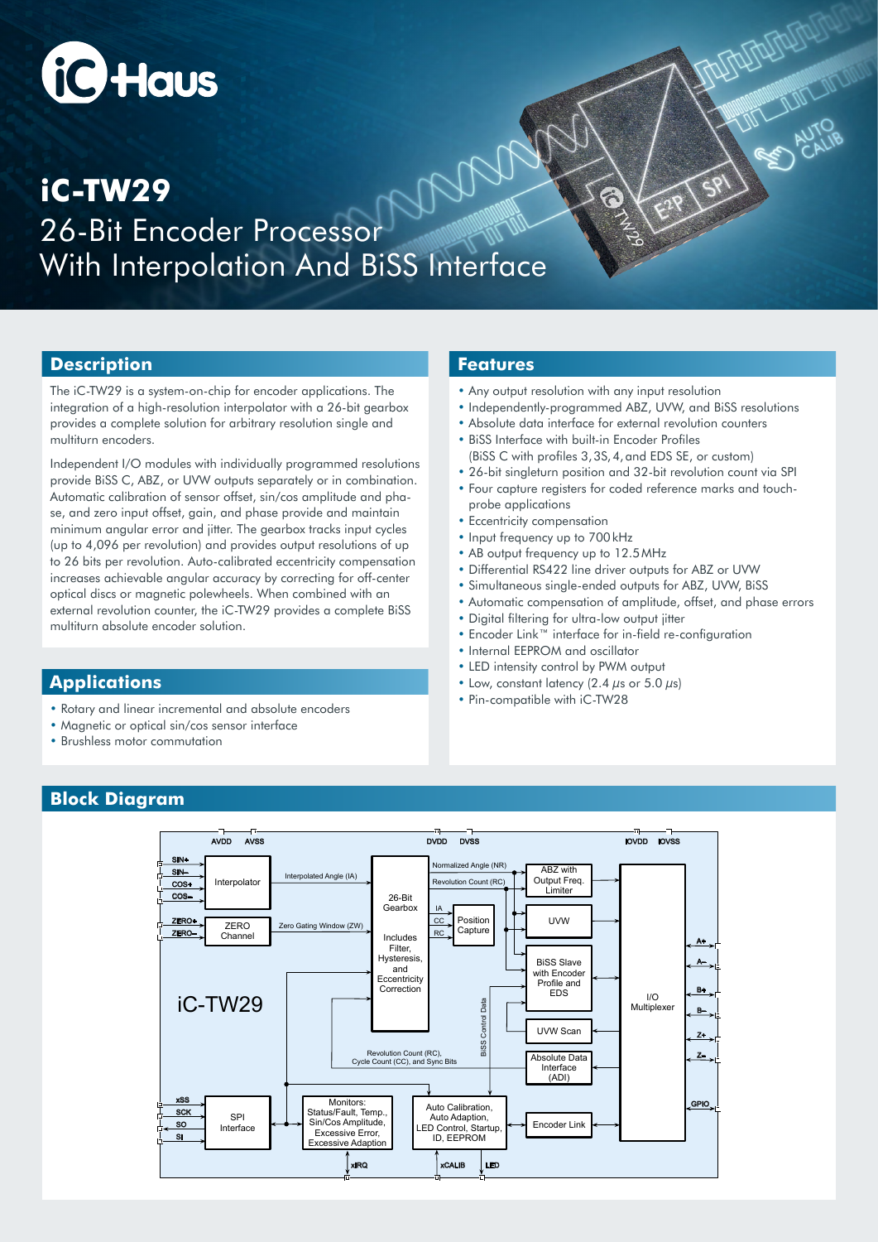# **iC** Haus

## 26-Bit Encoder Processor With Interpolation And BiSS Interface **iC-TW29**

#### **Description**

The iC-TW29 is a system-on-chip for encoder applications. The integration of a high-resolution interpolator with a 26-bit gearbox provides a complete solution for arbitrary resolution single and multiturn encoders.

Independent I/O modules with individually programmed resolutions provide BiSS C, ABZ, or UVW outputs separately or in combination. Automatic calibration of sensor offset, sin/cos amplitude and phase, and zero input offset, gain, and phase provide and maintain minimum angular error and jitter. The gearbox tracks input cycles (up to 4,096 per revolution) and provides output resolutions of up to 26 bits per revolution. Auto-calibrated eccentricity compensation increases achievable angular accuracy by correcting for off-center optical discs or magnetic polewheels. When combined with an external revolution counter, the iC-TW29 provides a complete BiSS multiturn absolute encoder solution.

#### **Applications**

- Rotary and linear incremental and absolute encoders
- Magnetic or optical sin/cos sensor interface
- Brushless motor commutation

#### **Features**

- Any output resolution with any input resolution
- Independently-programmed ABZ, UVW, and BiSS resolutions

NEW AUTORITY

- Absolute data interface for external revolution counters
- BiSS Interface with built-in Encoder Profiles (BiSS C with profiles 3,3S,4,and EDS SE, or custom)
- 26-bit singleturn position and 32-bit revolution count via SPI
- Four capture registers for coded reference marks and touchprobe applications
- Eccentricity compensation
- Input frequency up to 700kHz
- AB output frequency up to 12.5MHz
- Differential RS422 line driver outputs for ABZ or UVW
- Simultaneous single-ended outputs for ABZ, UVW, BiSS
- Automatic compensation of amplitude, offset, and phase errors
- Digital filtering for ultra-low output jitter
- Encoder Link™ interface for in-field re-configuration
- Internal EEPROM and oscillator
- LED intensity control by PWM output
- Low, constant latency  $(2.4 \mu s)$  or  $5.0 \mu s$ )
- Pin-compatible with iC-TW28

### **Block Diagram**